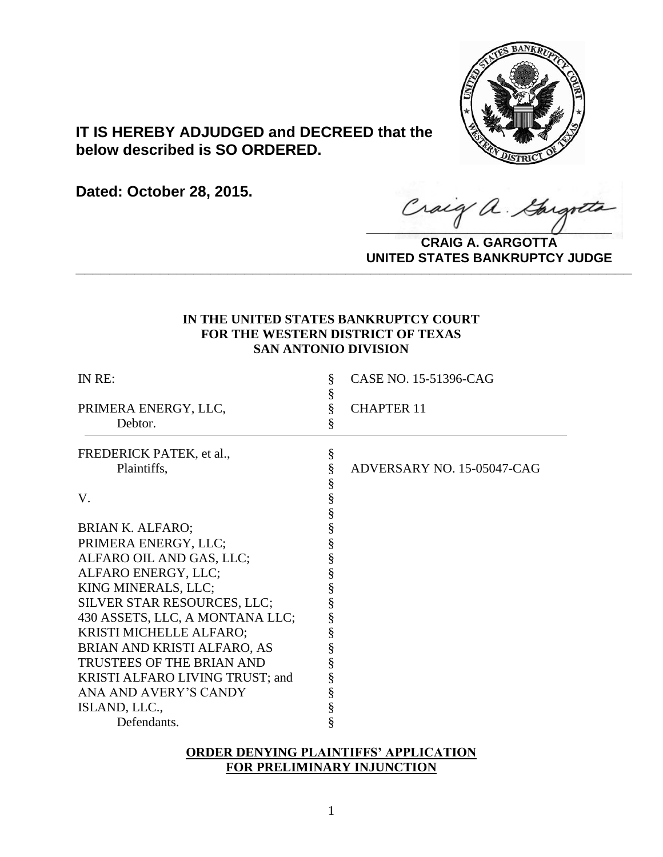

# **IT IS HEREBY ADJUDGED and DECREED that the below described is SO ORDERED.**

**Dated: October 28, 2015.**

Craig a Gargot

**CRAIG A. GARGOTTA UNITED STATES BANKRUPTCY JUDGE PRITED DIATED BARRACT TOT 00DCE** 

## **IN THE UNITED STATES BANKRUPTCY COURT FOR THE WESTERN DISTRICT OF TEXAS SAN ANTONIO DIVISION**

| IN RE:                          | §<br>§ | CASE NO. 15-51396-CAG      |
|---------------------------------|--------|----------------------------|
| PRIMERA ENERGY, LLC,            | §      | <b>CHAPTER 11</b>          |
| Debtor.                         | §      |                            |
| FREDERICK PATEK, et al.,        | $\S$   |                            |
| Plaintiffs,                     | §      | ADVERSARY NO. 15-05047-CAG |
|                                 | §      |                            |
| V.                              | §<br>§ |                            |
|                                 |        |                            |
| <b>BRIAN K. ALFARO;</b>         | §      |                            |
| PRIMERA ENERGY, LLC;            | §      |                            |
| ALFARO OIL AND GAS, LLC;        | §      |                            |
| ALFARO ENERGY, LLC;             | §      |                            |
| KING MINERALS, LLC;             | §      |                            |
| SILVER STAR RESOURCES, LLC;     | §      |                            |
| 430 ASSETS, LLC, A MONTANA LLC; | §      |                            |
| KRISTI MICHELLE ALFARO;         | §      |                            |
| BRIAN AND KRISTI ALFARO, AS     | §      |                            |
| TRUSTEES OF THE BRIAN AND       | §      |                            |
| KRISTI ALFARO LIVING TRUST; and | §      |                            |
| ANA AND AVERY'S CANDY           | §      |                            |
| ISLAND, LLC.,                   | §      |                            |
| Defendants.                     | §      |                            |

## **ORDER DENYING PLAINTIFFS' APPLICATION FOR PRELIMINARY INJUNCTION**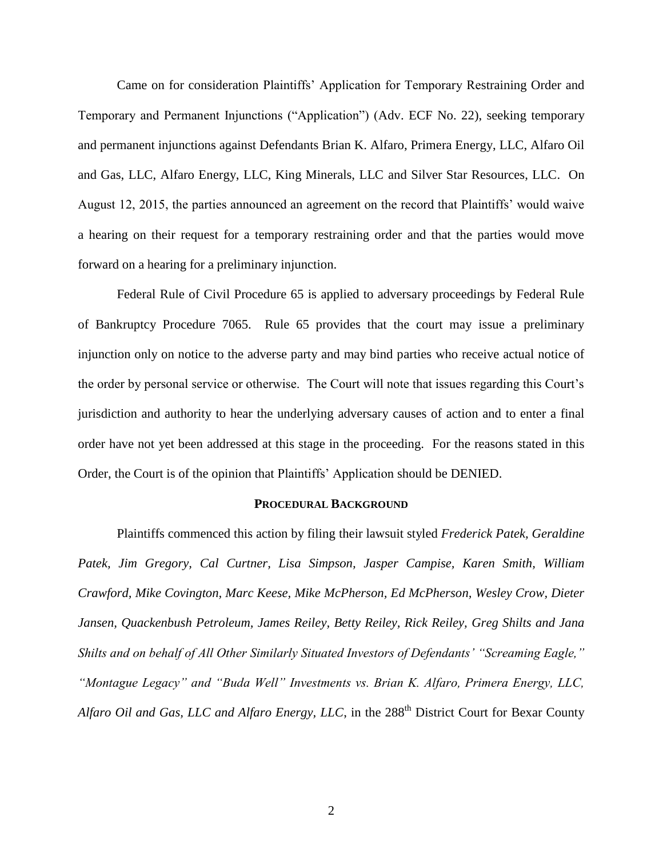Came on for consideration Plaintiffs' Application for Temporary Restraining Order and Temporary and Permanent Injunctions ("Application") (Adv. ECF No. 22), seeking temporary and permanent injunctions against Defendants Brian K. Alfaro, Primera Energy, LLC, Alfaro Oil and Gas, LLC, Alfaro Energy, LLC, King Minerals, LLC and Silver Star Resources, LLC. On August 12, 2015, the parties announced an agreement on the record that Plaintiffs' would waive a hearing on their request for a temporary restraining order and that the parties would move forward on a hearing for a preliminary injunction.

Federal Rule of Civil Procedure 65 is applied to adversary proceedings by Federal Rule of Bankruptcy Procedure 7065. Rule 65 provides that the court may issue a preliminary injunction only on notice to the adverse party and may bind parties who receive actual notice of the order by personal service or otherwise. The Court will note that issues regarding this Court's jurisdiction and authority to hear the underlying adversary causes of action and to enter a final order have not yet been addressed at this stage in the proceeding. For the reasons stated in this Order, the Court is of the opinion that Plaintiffs' Application should be DENIED.

#### **PROCEDURAL BACKGROUND**

Plaintiffs commenced this action by filing their lawsuit styled *Frederick Patek, Geraldine Patek, Jim Gregory, Cal Curtner, Lisa Simpson, Jasper Campise, Karen Smith, William Crawford, Mike Covington, Marc Keese, Mike McPherson, Ed McPherson, Wesley Crow, Dieter Jansen, Quackenbush Petroleum, James Reiley, Betty Reiley, Rick Reiley, Greg Shilts and Jana Shilts and on behalf of All Other Similarly Situated Investors of Defendants' "Screaming Eagle," "Montague Legacy" and "Buda Well" Investments vs. Brian K. Alfaro, Primera Energy, LLC, Alfaro Oil and Gas, LLC and Alfaro Energy, LLC*, in the 288th District Court for Bexar County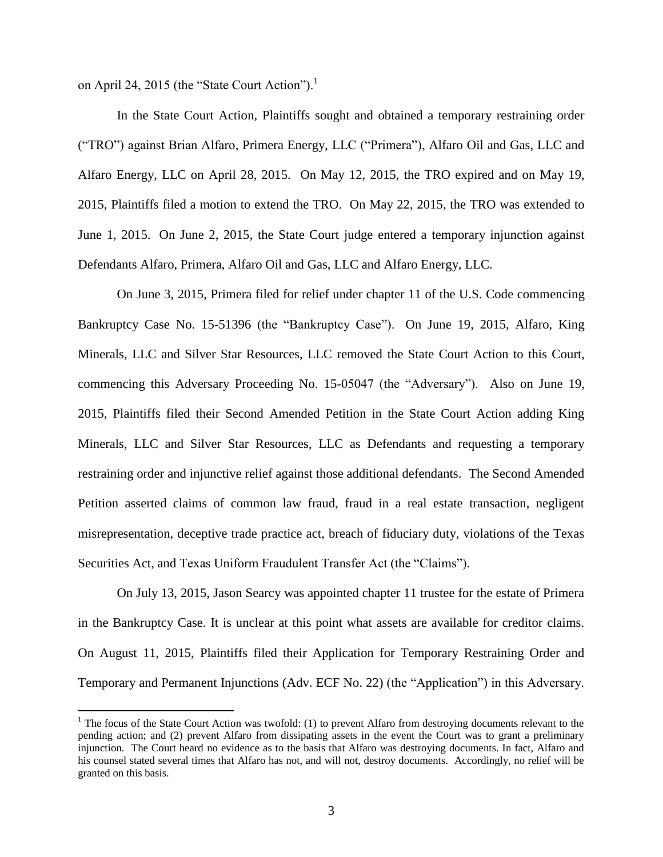on April 24, 2015 (the "State Court Action"). $^1$ 

 $\overline{a}$ 

In the State Court Action, Plaintiffs sought and obtained a temporary restraining order ("TRO") against Brian Alfaro, Primera Energy, LLC ("Primera"), Alfaro Oil and Gas, LLC and Alfaro Energy, LLC on April 28, 2015. On May 12, 2015, the TRO expired and on May 19, 2015, Plaintiffs filed a motion to extend the TRO. On May 22, 2015, the TRO was extended to June 1, 2015.On June 2, 2015, the State Court judge entered a temporary injunction against Defendants Alfaro, Primera, Alfaro Oil and Gas, LLC and Alfaro Energy, LLC.

On June 3, 2015, Primera filed for relief under chapter 11 of the U.S. Code commencing Bankruptcy Case No. 15-51396 (the "Bankruptcy Case").On June 19, 2015, Alfaro, King Minerals, LLC and Silver Star Resources, LLC removed the State Court Action to this Court, commencing this Adversary Proceeding No. 15-05047 (the "Adversary"). Also on June 19, 2015, Plaintiffs filed their Second Amended Petition in the State Court Action adding King Minerals, LLC and Silver Star Resources, LLC as Defendants and requesting a temporary restraining order and injunctive relief against those additional defendants. The Second Amended Petition asserted claims of common law fraud, fraud in a real estate transaction, negligent misrepresentation, deceptive trade practice act, breach of fiduciary duty, violations of the Texas Securities Act, and Texas Uniform Fraudulent Transfer Act (the "Claims").

On July 13, 2015, Jason Searcy was appointed chapter 11 trustee for the estate of Primera in the Bankruptcy Case. It is unclear at this point what assets are available for creditor claims. On August 11, 2015, Plaintiffs filed their Application for Temporary Restraining Order and Temporary and Permanent Injunctions (Adv. ECF No. 22) (the "Application") in this Adversary.

 $1$  The focus of the State Court Action was twofold: (1) to prevent Alfaro from destroying documents relevant to the pending action; and (2) prevent Alfaro from dissipating assets in the event the Court was to grant a preliminary injunction. The Court heard no evidence as to the basis that Alfaro was destroying documents. In fact, Alfaro and his counsel stated several times that Alfaro has not, and will not, destroy documents. Accordingly, no relief will be granted on this basis.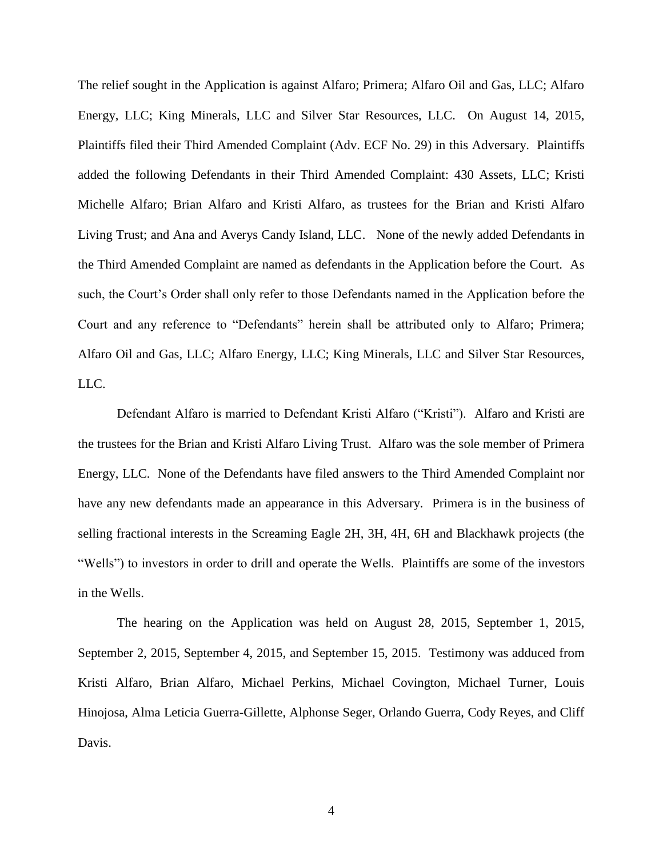The relief sought in the Application is against Alfaro; Primera; Alfaro Oil and Gas, LLC; Alfaro Energy, LLC; King Minerals, LLC and Silver Star Resources, LLC. On August 14, 2015, Plaintiffs filed their Third Amended Complaint (Adv. ECF No. 29) in this Adversary. Plaintiffs added the following Defendants in their Third Amended Complaint: 430 Assets, LLC; Kristi Michelle Alfaro; Brian Alfaro and Kristi Alfaro, as trustees for the Brian and Kristi Alfaro Living Trust; and Ana and Averys Candy Island, LLC. None of the newly added Defendants in the Third Amended Complaint are named as defendants in the Application before the Court. As such, the Court's Order shall only refer to those Defendants named in the Application before the Court and any reference to "Defendants" herein shall be attributed only to Alfaro; Primera; Alfaro Oil and Gas, LLC; Alfaro Energy, LLC; King Minerals, LLC and Silver Star Resources, LLC.

Defendant Alfaro is married to Defendant Kristi Alfaro ("Kristi"). Alfaro and Kristi are the trustees for the Brian and Kristi Alfaro Living Trust. Alfaro was the sole member of Primera Energy, LLC. None of the Defendants have filed answers to the Third Amended Complaint nor have any new defendants made an appearance in this Adversary. Primera is in the business of selling fractional interests in the Screaming Eagle 2H, 3H, 4H, 6H and Blackhawk projects (the "Wells") to investors in order to drill and operate the Wells. Plaintiffs are some of the investors in the Wells.

The hearing on the Application was held on August 28, 2015, September 1, 2015, September 2, 2015, September 4, 2015, and September 15, 2015. Testimony was adduced from Kristi Alfaro, Brian Alfaro, Michael Perkins, Michael Covington, Michael Turner, Louis Hinojosa, Alma Leticia Guerra-Gillette, Alphonse Seger, Orlando Guerra, Cody Reyes, and Cliff Davis.

4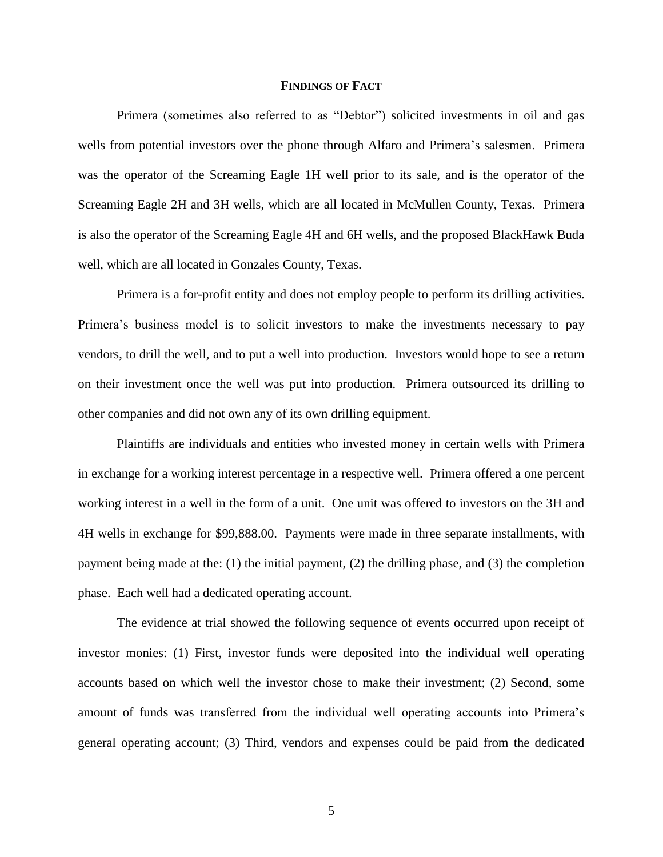#### **FINDINGS OF FACT**

Primera (sometimes also referred to as "Debtor") solicited investments in oil and gas wells from potential investors over the phone through Alfaro and Primera's salesmen. Primera was the operator of the Screaming Eagle 1H well prior to its sale, and is the operator of the Screaming Eagle 2H and 3H wells, which are all located in McMullen County, Texas. Primera is also the operator of the Screaming Eagle 4H and 6H wells, and the proposed BlackHawk Buda well, which are all located in Gonzales County, Texas.

Primera is a for-profit entity and does not employ people to perform its drilling activities. Primera's business model is to solicit investors to make the investments necessary to pay vendors, to drill the well, and to put a well into production. Investors would hope to see a return on their investment once the well was put into production. Primera outsourced its drilling to other companies and did not own any of its own drilling equipment.

Plaintiffs are individuals and entities who invested money in certain wells with Primera in exchange for a working interest percentage in a respective well. Primera offered a one percent working interest in a well in the form of a unit. One unit was offered to investors on the 3H and 4H wells in exchange for \$99,888.00. Payments were made in three separate installments, with payment being made at the: (1) the initial payment, (2) the drilling phase, and (3) the completion phase. Each well had a dedicated operating account.

The evidence at trial showed the following sequence of events occurred upon receipt of investor monies: (1) First, investor funds were deposited into the individual well operating accounts based on which well the investor chose to make their investment; (2) Second, some amount of funds was transferred from the individual well operating accounts into Primera's general operating account; (3) Third, vendors and expenses could be paid from the dedicated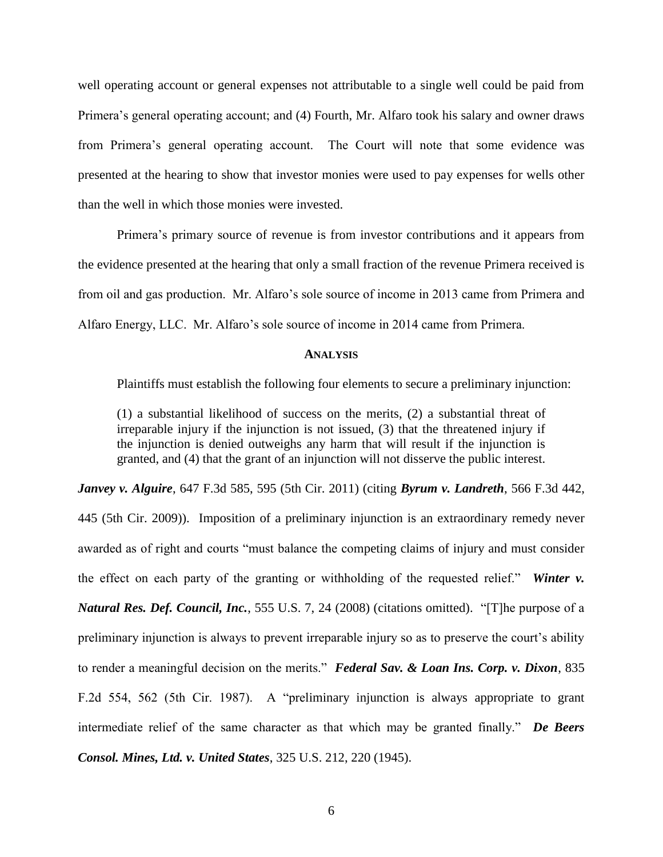well operating account or general expenses not attributable to a single well could be paid from Primera's general operating account; and (4) Fourth, Mr. Alfaro took his salary and owner draws from Primera's general operating account. The Court will note that some evidence was presented at the hearing to show that investor monies were used to pay expenses for wells other than the well in which those monies were invested.

Primera's primary source of revenue is from investor contributions and it appears from the evidence presented at the hearing that only a small fraction of the revenue Primera received is from oil and gas production. Mr. Alfaro's sole source of income in 2013 came from Primera and Alfaro Energy, LLC. Mr. Alfaro's sole source of income in 2014 came from Primera.

#### **ANALYSIS**

Plaintiffs must establish the following four elements to secure a preliminary injunction:

(1) a substantial likelihood of success on the merits, (2) a substantial threat of irreparable injury if the injunction is not issued, (3) that the threatened injury if the injunction is denied outweighs any harm that will result if the injunction is granted, and (4) that the grant of an injunction will not disserve the public interest.

*Janvey v. Alguire*, 647 F.3d 585, 595 (5th Cir. 2011) (citing *Byrum v. Landreth*, 566 F.3d 442, 445 (5th Cir. 2009)). Imposition of a preliminary injunction is an extraordinary remedy never awarded as of right and courts "must balance the competing claims of injury and must consider the effect on each party of the granting or withholding of the requested relief." *Winter v. Natural Res. Def. Council, Inc.*, 555 U.S. 7, 24 (2008) (citations omitted). "[T]he purpose of a preliminary injunction is always to prevent irreparable injury so as to preserve the court's ability to render a meaningful decision on the merits." *Federal Sav. & Loan Ins. Corp. v. Dixon*, 835 F.2d 554, 562 (5th Cir. 1987). A "preliminary injunction is always appropriate to grant intermediate relief of the same character as that which may be granted finally." *De Beers Consol. Mines, Ltd. v. United States*, 325 U.S. 212, 220 (1945).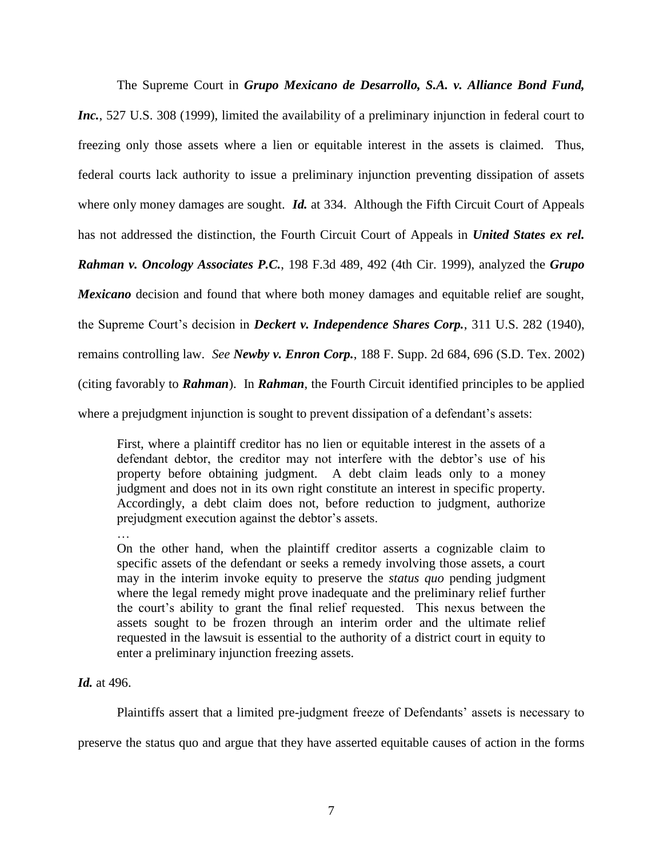The Supreme Court in *Grupo Mexicano de Desarrollo, S.A. v. Alliance Bond Fund, Inc.*, 527 U.S. 308 (1999), limited the availability of a preliminary injunction in federal court to freezing only those assets where a lien or equitable interest in the assets is claimed. Thus, federal courts lack authority to issue a preliminary injunction preventing dissipation of assets where only money damages are sought. *Id.* at 334. Although the Fifth Circuit Court of Appeals has not addressed the distinction, the Fourth Circuit Court of Appeals in *United States ex rel. Rahman v. Oncology Associates P.C.*, 198 F.3d 489, 492 (4th Cir. 1999), analyzed the *Grupo Mexicano* decision and found that where both money damages and equitable relief are sought, the Supreme Court's decision in *Deckert v. Independence Shares Corp.*, 311 U.S. 282 (1940), remains controlling law. *See Newby v. Enron Corp.*, 188 F. Supp. 2d 684, 696 (S.D. Tex. 2002) (citing favorably to *Rahman*). In *Rahman*, the Fourth Circuit identified principles to be applied where a prejudgment injunction is sought to prevent dissipation of a defendant's assets:

First, where a plaintiff creditor has no lien or equitable interest in the assets of a defendant debtor, the creditor may not interfere with the debtor's use of his property before obtaining judgment. A debt claim leads only to a money judgment and does not in its own right constitute an interest in specific property. Accordingly, a debt claim does not, before reduction to judgment, authorize prejudgment execution against the debtor's assets.

…

On the other hand, when the plaintiff creditor asserts a cognizable claim to specific assets of the defendant or seeks a remedy involving those assets, a court may in the interim invoke equity to preserve the *status quo* pending judgment where the legal remedy might prove inadequate and the preliminary relief further the court's ability to grant the final relief requested. This nexus between the assets sought to be frozen through an interim order and the ultimate relief requested in the lawsuit is essential to the authority of a district court in equity to enter a preliminary injunction freezing assets.

### *Id.* at 496.

Plaintiffs assert that a limited pre-judgment freeze of Defendants' assets is necessary to

preserve the status quo and argue that they have asserted equitable causes of action in the forms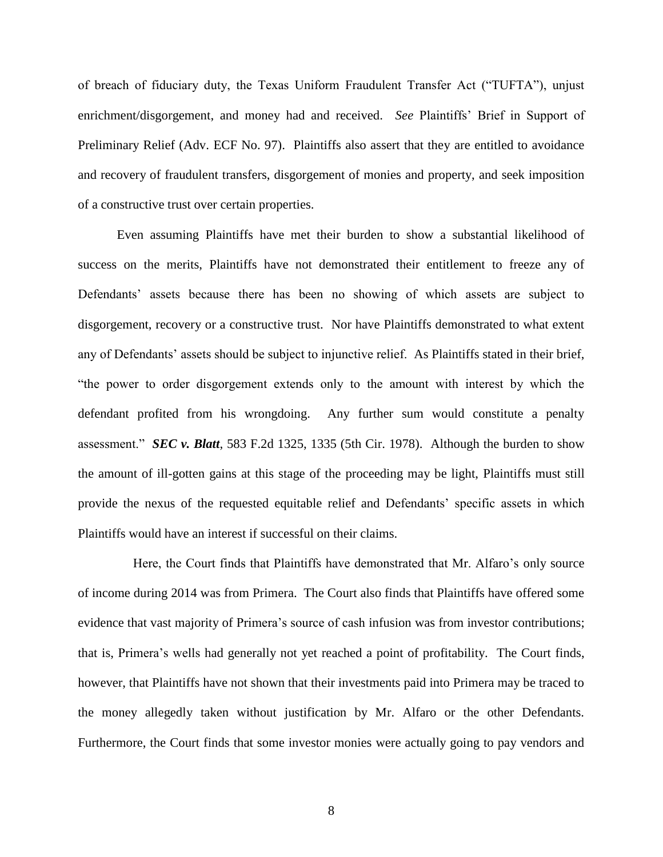of breach of fiduciary duty, the Texas Uniform Fraudulent Transfer Act ("TUFTA"), unjust enrichment/disgorgement, and money had and received. *See* Plaintiffs' Brief in Support of Preliminary Relief (Adv. ECF No. 97). Plaintiffs also assert that they are entitled to avoidance and recovery of fraudulent transfers, disgorgement of monies and property, and seek imposition of a constructive trust over certain properties.

Even assuming Plaintiffs have met their burden to show a substantial likelihood of success on the merits, Plaintiffs have not demonstrated their entitlement to freeze any of Defendants' assets because there has been no showing of which assets are subject to disgorgement, recovery or a constructive trust. Nor have Plaintiffs demonstrated to what extent any of Defendants' assets should be subject to injunctive relief. As Plaintiffs stated in their brief, "the power to order disgorgement extends only to the amount with interest by which the defendant profited from his wrongdoing. Any further sum would constitute a penalty assessment." *SEC v. Blatt*, 583 F.2d 1325, 1335 (5th Cir. 1978). Although the burden to show the amount of ill-gotten gains at this stage of the proceeding may be light, Plaintiffs must still provide the nexus of the requested equitable relief and Defendants' specific assets in which Plaintiffs would have an interest if successful on their claims.

 Here, the Court finds that Plaintiffs have demonstrated that Mr. Alfaro's only source of income during 2014 was from Primera. The Court also finds that Plaintiffs have offered some evidence that vast majority of Primera's source of cash infusion was from investor contributions; that is, Primera's wells had generally not yet reached a point of profitability. The Court finds, however, that Plaintiffs have not shown that their investments paid into Primera may be traced to the money allegedly taken without justification by Mr. Alfaro or the other Defendants. Furthermore, the Court finds that some investor monies were actually going to pay vendors and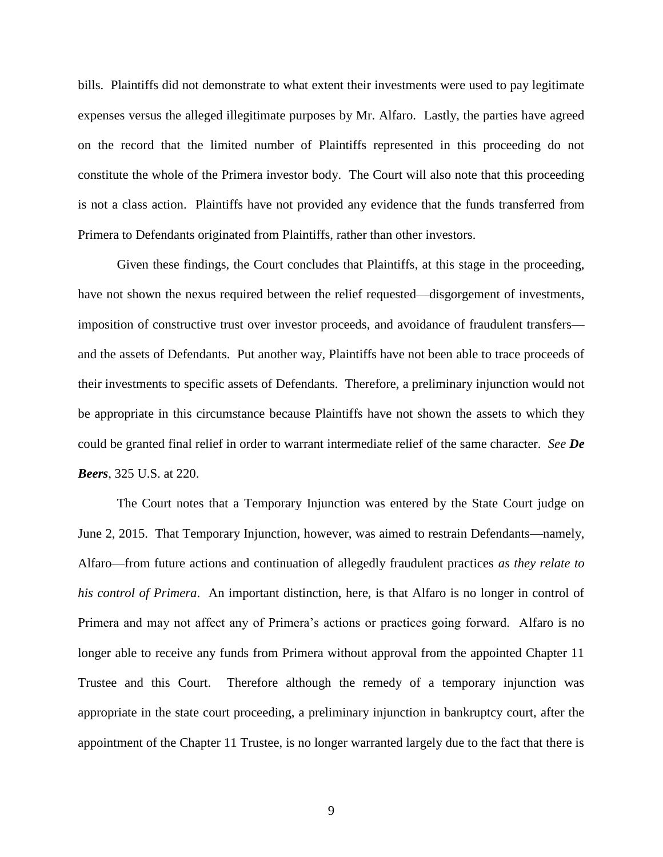bills. Plaintiffs did not demonstrate to what extent their investments were used to pay legitimate expenses versus the alleged illegitimate purposes by Mr. Alfaro. Lastly, the parties have agreed on the record that the limited number of Plaintiffs represented in this proceeding do not constitute the whole of the Primera investor body. The Court will also note that this proceeding is not a class action. Plaintiffs have not provided any evidence that the funds transferred from Primera to Defendants originated from Plaintiffs, rather than other investors.

Given these findings, the Court concludes that Plaintiffs, at this stage in the proceeding, have not shown the nexus required between the relief requested—disgorgement of investments, imposition of constructive trust over investor proceeds, and avoidance of fraudulent transfers and the assets of Defendants. Put another way, Plaintiffs have not been able to trace proceeds of their investments to specific assets of Defendants. Therefore, a preliminary injunction would not be appropriate in this circumstance because Plaintiffs have not shown the assets to which they could be granted final relief in order to warrant intermediate relief of the same character. *See De Beers*, 325 U.S. at 220.

The Court notes that a Temporary Injunction was entered by the State Court judge on June 2, 2015. That Temporary Injunction, however, was aimed to restrain Defendants—namely, Alfaro—from future actions and continuation of allegedly fraudulent practices *as they relate to his control of Primera*. An important distinction, here, is that Alfaro is no longer in control of Primera and may not affect any of Primera's actions or practices going forward. Alfaro is no longer able to receive any funds from Primera without approval from the appointed Chapter 11 Trustee and this Court. Therefore although the remedy of a temporary injunction was appropriate in the state court proceeding, a preliminary injunction in bankruptcy court, after the appointment of the Chapter 11 Trustee, is no longer warranted largely due to the fact that there is